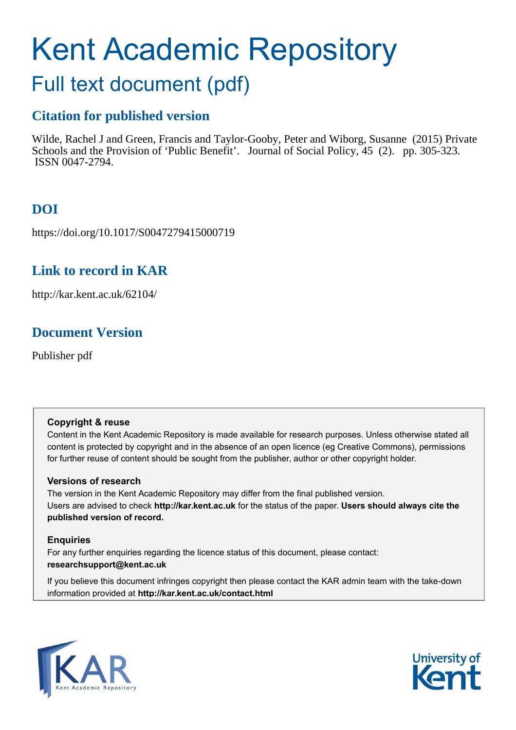# Kent Academic Repository

## Full text document (pdf)

## **Citation for published version**

Wilde, Rachel J and Green, Francis and Taylor-Gooby, Peter and Wiborg, Susanne (2015) Private Schools and the Provision of 'Public Benefit'. Journal of Social Policy, 45 (2). pp. 305-323. ISSN 0047-2794.

## **DOI**

https://doi.org/10.1017/S0047279415000719

## **Link to record in KAR**

http://kar.kent.ac.uk/62104/

## **Document Version**

Publisher pdf

#### **Copyright & reuse**

Content in the Kent Academic Repository is made available for research purposes. Unless otherwise stated all content is protected by copyright and in the absence of an open licence (eg Creative Commons), permissions for further reuse of content should be sought from the publisher, author or other copyright holder.

#### **Versions of research**

The version in the Kent Academic Repository may differ from the final published version. Users are advised to check **http://kar.kent.ac.uk** for the status of the paper. **Users should always cite the published version of record.**

#### **Enquiries**

For any further enquiries regarding the licence status of this document, please contact: **researchsupport@kent.ac.uk**

If you believe this document infringes copyright then please contact the KAR admin team with the take-down information provided at **http://kar.kent.ac.uk/contact.html**



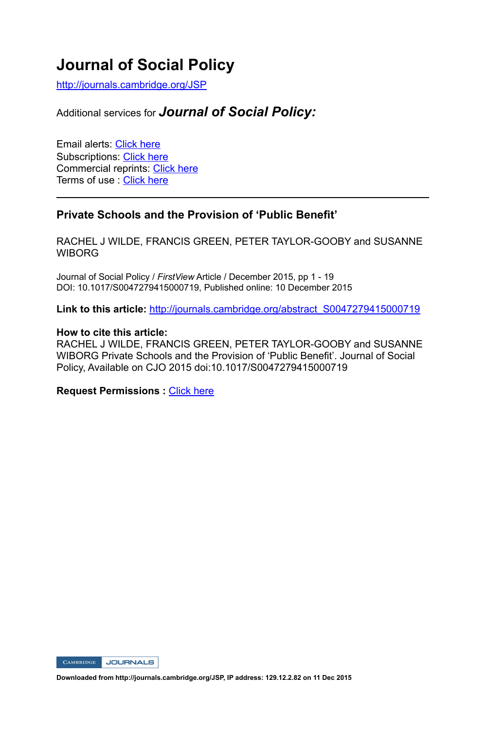### **Journal of Social Policy**

http://journals.cambridge.org/JSP

#### Additional services for **Journal of Social Policy:**

Email alerts: Click here Subscriptions: Click here Commercial reprints: Click here Terms of use: Click here

#### **Private Schools and the Provision of 'Public Benefit'**

RACHEL J WILDE, FRANCIS GREEN, PETER TAYLOR-GOOBY and SUSANNE WIBORG

Journal of Social Policy / FirstView Article / December 2015, pp 1 - 19 DOI: 10.1017/S0047279415000719, Published online: 10 December 2015

**Link to this article:** http://journals.cambridge.org/abstract S0047279415000719

#### **How to cite this article:**

RACHEL J WILDE, FRANCIS GREEN, PETER TAYLOR-GOOBY and SUSANNE WIBORG Private Schools and the Provision of 'Public Benefit', Journal of Social Policy, Available on CJO 2015 doi:10.1017/S0047279415000719

#### **Request Permissions: Click here**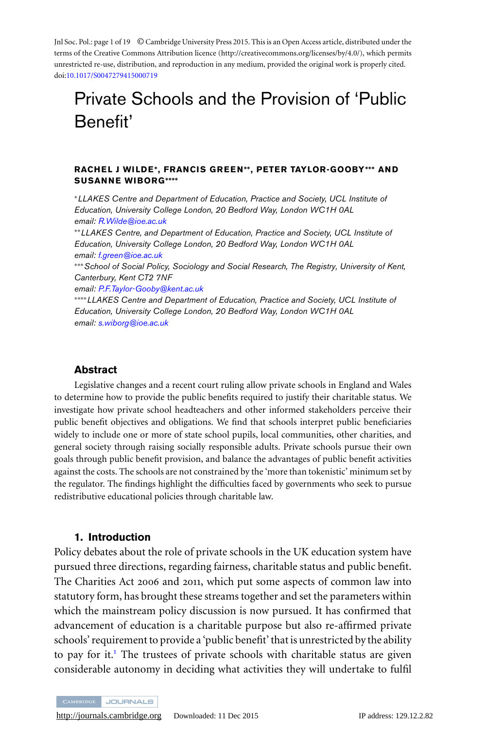Jnl Soc. Pol.: page 1 of 19 © Cambridge University Press 2015. This is an Open Access article, distributed under the terms of the Creative Commons Attribution licence (http://creativecommons.org/licenses/by/4.0/), which permits unrestricted re-use, distribution, and reproduction in any medium, provided the original work is properly cited. doi[:10.1017/S0047279415000719](http://dx.doi.org/10.1017/S0047279415000719)

## Private Schools and the Provision of 'Public Benefit'

#### **RACHEL J WILDE**<sup>∗</sup> **, FRANCIS GREEN**∗∗**, PETER TAYLOR-GOOBY**∗∗∗ **AND SUSANNE WIBORG**∗∗∗∗

<sup>∗</sup>*LLAKES Centre and Department of Education, Practice and Society, UCL Institute of Education, University College London, 20 Bedford Way, London WC1H 0AL email: [R.Wilde@ioe.ac.uk](mailto:R.Wilde@ioe.ac.uk)*

∗∗*LLAKES Centre, and Department of Education, Practice and Society, UCL Institute of Education, University College London, 20 Bedford Way, London WC1H 0AL email: [f.green@ioe.ac.uk](mailto:f.green@ioe.ac.uk)*

∗∗∗*School of Social Policy, Sociology and Social Research, The Registry, University of Kent, Canterbury, Kent CT2 7NF*

*email: [P.F.Taylor-Gooby@kent.ac.uk](mailto:P.F.Taylor-Gooby@kent.ac.uk)*

∗∗∗∗*LLAKES Centre and Department of Education, Practice and Society, UCL Institute of Education, University College London, 20 Bedford Way, London WC1H 0AL email: [s.wiborg@ioe.ac.uk](mailto:s.wiborg@ioe.ac.uk)*

#### **Abstract**

Legislative changes and a recent court ruling allow private schools in England and Wales to determine how to provide the public benefits required to justify their charitable status. We investigate how private school headteachers and other informed stakeholders perceive their public benefit objectives and obligations. We find that schools interpret public beneficiaries widely to include one or more of state school pupils, local communities, other charities, and general society through raising socially responsible adults. Private schools pursue their own goals through public benefit provision, and balance the advantages of public benefit activities against the costs. The schools are not constrained by the 'more than tokenistic' minimum set by the regulator. The findings highlight the difficulties faced by governments who seek to pursue redistributive educational policies through charitable law.

#### **1. Introduction**

Policy debates about the role of private schools in the UK education system have pursued three directions, regarding fairness, charitable status and public benefit. The Charities Act 2006 and 2011, which put some aspects of common law into statutory form, has brought these streams together and set the parameters within which the mainstream policy discussion is now pursued. It has confirmed that advancement of education is a charitable purpose but also re-affirmed private schools' requirement to provide a 'public benefit' that is unrestricted by the ability to pay for it[.](#page-17-0)<sup>1</sup> The trustees of private schools with charitable status are given considerable autonomy in deciding what activities they will undertake to fulfil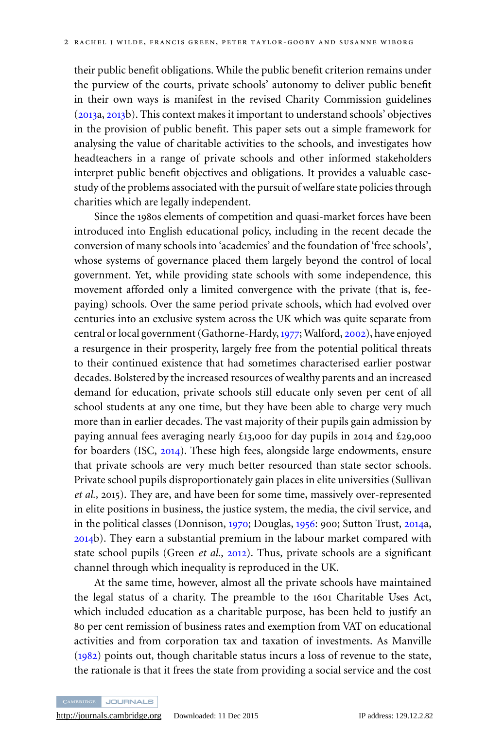their public benefit obligations. While the public benefit criterion remains under the purview of the courts, private schools' autonomy to deliver public benefit in their own ways is manifest in the revised Charity Commission guidelines ([2013](#page-18-0)a, [2013](#page-18-0)b). This context makes it important to understand schools' objectives in the provision of public benefit. This paper sets out a simple framework for analysing the value of charitable activities to the schools, and investigates how headteachers in a range of private schools and other informed stakeholders interpret public benefit objectives and obligations. It provides a valuable casestudy of the problems associated with the pursuit of welfare state policies through charities which are legally independent.

Since the 1980s elements of competition and quasi-market forces have been introduced into English educational policy, including in the recent decade the conversion of many schools into 'academies' and the foundation of 'free schools', whose systems of governance placed them largely beyond the control of local government. Yet, while providing state schools with some independence, this movement afforded only a limited convergence with the private (that is, feepaying) schools. Over the same period private schools, which had evolved over centuries into an exclusive system across the UK which was quite separate from central or local government (Gathorne-Hardy,[1977](#page-18-0); Walford, [2002](#page-19-0)), have enjoyed a resurgence in their prosperity, largely free from the potential political threats to their continued existence that had sometimes characterised earlier postwar decades. Bolstered by the increased resources of wealthy parents and an increased demand for education, private schools still educate only seven per cent of all school students at any one time, but they have been able to charge very much more than in earlier decades. The vast majority of their pupils gain admission by paying annual fees averaging nearly £13,000 for day pupils in 2014 and £29,000 for boarders (ISC, [2014](#page-18-0)). These high fees, alongside large endowments, ensure that private schools are very much better resourced than state sector schools. Private school pupils disproportionately gain places in elite universities (Sullivan *et al.,* 2015). They are, and have been for some time, massively over-represented in elite positions in business, the justice system, the media, the civil service, and in the political classes (Donnison, [1970](#page-18-0); Douglas, [1956](#page-18-0): 900; Sutton Trust, [2014](#page-19-0)a, [2014](#page-19-0)b). They earn a substantial premium in the labour market compared with state school pupils (Green *et al.*, [2012](#page-18-0)). Thus, private schools are a significant channel through which inequality is reproduced in the UK.

At the same time, however, almost all the private schools have maintained the legal status of a charity. The preamble to the 1601 Charitable Uses Act, which included education as a charitable purpose, has been held to justify an 80 per cent remission of business rates and exemption from VAT on educational activities and from corporation tax and taxation of investments. As Manville ([1982](#page-18-0)) points out, though charitable status incurs a loss of revenue to the state, the rationale is that it frees the state from providing a social service and the cost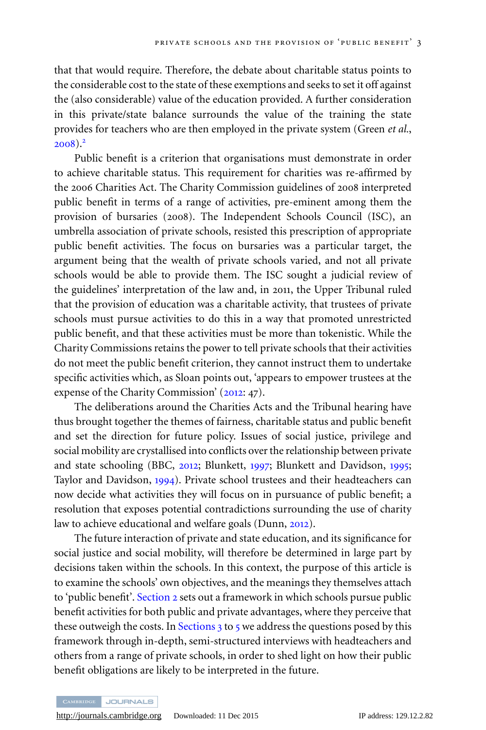that that would require. Therefore, the debate about charitable status points to the considerable cost to the state of these exemptions and seeks to set it off against the (also considerable) value of the education provided. A further consideration in this private/state balance surrounds the value of the training the state provides for teachers who are then employed in the private system (Green *et al.*,  $2008$ )[.](#page-18-0)<sup>2</sup>

Public benefit is a criterion that organisations must demonstrate in order to achieve charitable status. This requirement for charities was re-affirmed by the 2006 Charities Act. The Charity Commission guidelines of 2008 interpreted public benefit in terms of a range of activities, pre-eminent among them the provision of bursaries (2008). The Independent Schools Council (ISC), an umbrella association of private schools, resisted this prescription of appropriate public benefit activities. The focus on bursaries was a particular target, the argument being that the wealth of private schools varied, and not all private schools would be able to provide them. The ISC sought a judicial review of the guidelines' interpretation of the law and, in 2011, the Upper Tribunal ruled that the provision of education was a charitable activity, that trustees of private schools must pursue activities to do this in a way that promoted unrestricted public benefit, and that these activities must be more than tokenistic. While the Charity Commissions retains the power to tell private schools that their activities do not meet the public benefit criterion, they cannot instruct them to undertake specific activities which, as Sloan points out, 'appears to empower trustees at the expense of the Charity Commission' ([2012](#page-19-0): 47).

The deliberations around the Charities Acts and the Tribunal hearing have thus brought together the themes of fairness, charitable status and public benefit and set the direction for future policy. Issues of social justice, privilege and social mobility are crystallised into conflicts over the relationship between private and state schooling (BBC, [2012](#page-18-0); Blunkett, [1997](#page-18-0); Blunkett and Davidson, [1995](#page-18-0); Taylor and Davidson, [1994](#page-19-0)). Private school trustees and their headteachers can now decide what activities they will focus on in pursuance of public benefit; a resolution that exposes potential contradictions surrounding the use of charity law to achieve educational and welfare goals (Dunn, [2012](#page-18-0)).

The future interaction of private and state education, and its significance for social justice and social mobility, will therefore be determined in large part by decisions taken within the schools. In this context, the purpose of this article is to examine the schools' own objectives, and the meanings they themselves attach to 'public benefit'. Section 2 sets out a framework in which schools pursue public benefit activities for both public and private advantages, where they perceive that these outweigh the costs. In [Sections](#page-5-0)  $3$  to  $5$  we address the questions posed by this framework through in-depth, semi-structured interviews with headteachers and others from a range of private schools, in order to shed light on how their public benefit obligations are likely to be interpreted in the future.

CAMBRIDGE JOURNALS

<http://journals.cambridge.org> Downloaded: 11 Dec 2015 IP address: 129.12.2.82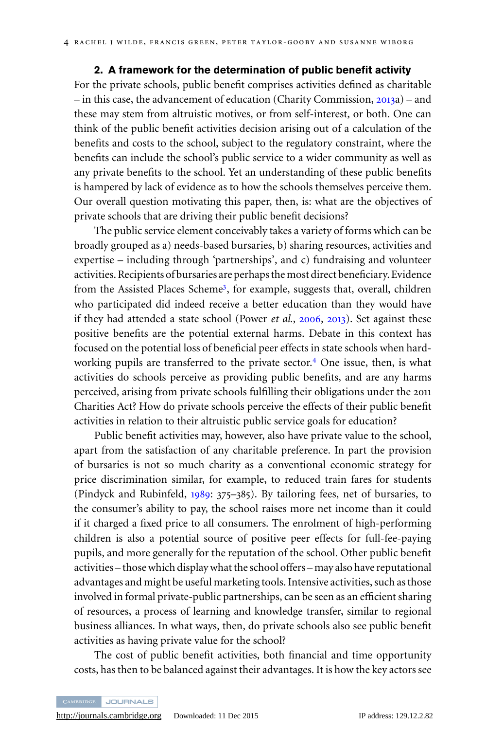#### **2. A framework for the determination of public benefit activity**

<span id="page-5-0"></span>For the private schools, public benefit comprises activities defined as charitable – in this case, the advancement of education (Charity Commission, [2013](#page-18-0)a) – and these may stem from altruistic motives, or from self-interest, or both. One can think of the public benefit activities decision arising out of a calculation of the benefits and costs to the school, subject to the regulatory constraint, where the benefits can include the school's public service to a wider community as well as any private benefits to the school. Yet an understanding of these public benefits is hampered by lack of evidence as to how the schools themselves perceive them. Our overall question motivating this paper, then, is: what are the objectives of private schools that are driving their public benefit decisions?

The public service element conceivably takes a variety of forms which can be broadly grouped as a) needs-based bursaries, b) sharing resources, activities and expertise – including through 'partnerships', and c) fundraising and volunteer activities. Recipients of bursaries are perhaps the most direct beneficiary. Evidence from the Assisted Places Scheme<sup>3</sup>[,](#page-18-0) for example, suggests that, overall, children who participated did indeed receive a better education than they would have if they had attended a state school (Power *et al*., [2006](#page-19-0), [2013](#page-19-0)). Set against these positive benefits are the potential external harms. Debate in this context has focused on the potential loss of beneficial peer effects in state schools when hard-working pupils are transferred to the private sector[.](#page-18-0)<sup>4</sup> One issue, then, is what activities do schools perceive as providing public benefits, and are any harms perceived, arising from private schools fulfilling their obligations under the 2011 Charities Act? How do private schools perceive the effects of their public benefit activities in relation to their altruistic public service goals for education?

Public benefit activities may, however, also have private value to the school, apart from the satisfaction of any charitable preference. In part the provision of bursaries is not so much charity as a conventional economic strategy for price discrimination similar, for example, to reduced train fares for students (Pindyck and Rubinfeld, [1989](#page-19-0): 375–385). By tailoring fees, net of bursaries, to the consumer's ability to pay, the school raises more net income than it could if it charged a fixed price to all consumers. The enrolment of high-performing children is also a potential source of positive peer effects for full-fee-paying pupils, and more generally for the reputation of the school. Other public benefit activities – those which display what the school offers – may also have reputational advantages and might be useful marketing tools. Intensive activities, such as those involved in formal private-public partnerships, can be seen as an efficient sharing of resources, a process of learning and knowledge transfer, similar to regional business alliances. In what ways, then, do private schools also see public benefit activities as having private value for the school?

The cost of public benefit activities, both financial and time opportunity costs, has then to be balanced against their advantages. It is how the key actors see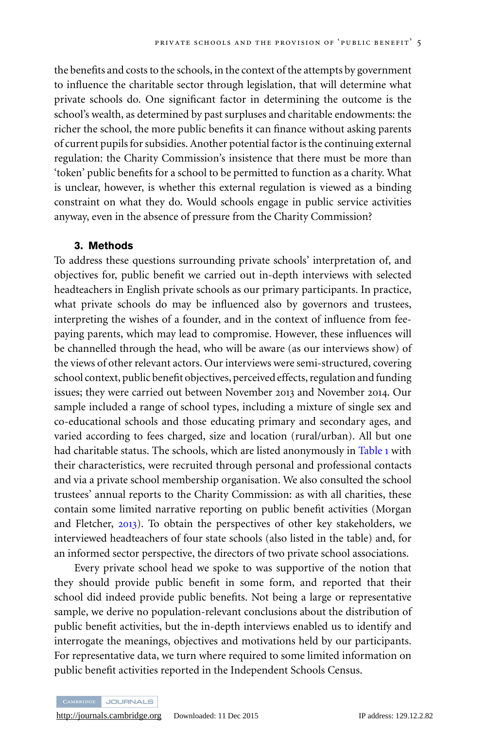the benefits and costs to the schools, in the context of the attempts by government to influence the charitable sector through legislation, that will determine what private schools do. One significant factor in determining the outcome is the school's wealth, as determined by past surpluses and charitable endowments: the richer the school, the more public benefits it can finance without asking parents of current pupils for subsidies. Another potential factor is the continuing external regulation: the Charity Commission's insistence that there must be more than 'token' public benefits for a school to be permitted to function as a charity. What is unclear, however, is whether this external regulation is viewed as a binding constraint on what they do. Would schools engage in public service activities anyway, even in the absence of pressure from the Charity Commission?

#### **3. Methods**

To address these questions surrounding private schools' interpretation of, and objectives for, public benefit we carried out in-depth interviews with selected headteachers in English private schools as our primary participants. In practice, what private schools do may be influenced also by governors and trustees, interpreting the wishes of a founder, and in the context of influence from feepaying parents, which may lead to compromise. However, these influences will be channelled through the head, who will be aware (as our interviews show) of the views of other relevant actors. Our interviews were semi-structured, covering school context, public benefit objectives, perceived effects, regulation and funding issues; they were carried out between November 2013 and November 2014. Our sample included a range of school types, including a mixture of single sex and co-educational schools and those educating primary and secondary ages, and varied according to fees charged, size and location (rural/urban). All but one had charitable status. The schools, which are listed anonymously in Table 1 with their characteristics, were recruited through personal and professional contacts and via a private school membership organisation. We also consulted the school trustees' annual reports to the Charity Commission: as with all charities, these contain some limited narrative reporting on public benefit activities (Morgan and Fletcher, [2013](#page-19-0)). To obtain the perspectives of other key stakeholders, we interviewed headteachers of four state schools (also listed in the table) and, for an informed sector perspective, the directors of two private school associations.

Every private school head we spoke to was supportive of the notion that they should provide public benefit in some form, and reported that their school did indeed provide public benefits. Not being a large or representative sample, we derive no population-relevant conclusions about the distribution of public benefit activities, but the in-depth interviews enabled us to identify and interrogate the meanings, objectives and motivations held by our participants. For representative data, we turn where required to some limited information on public benefit activities reported in the Independent Schools Census.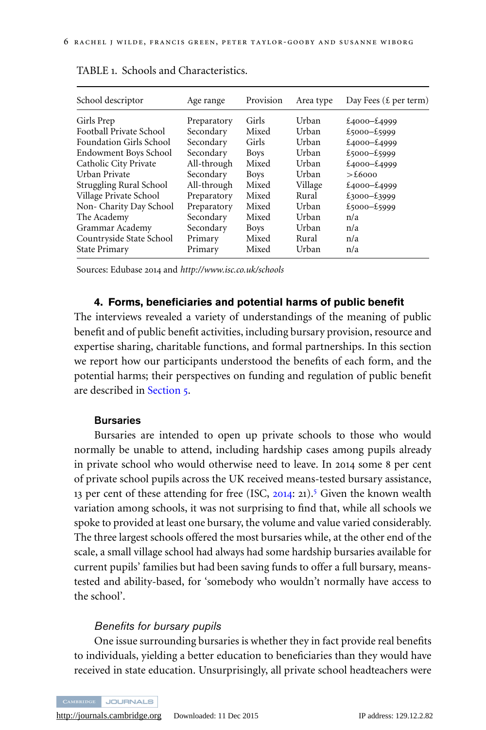| School descriptor              | Age range   | Provision   | Area type | Day Fees $(E$ per term) |
|--------------------------------|-------------|-------------|-----------|-------------------------|
| Girls Prep                     | Preparatory | Girls       | Urban     | $£4000 - £4999$         |
| Football Private School        | Secondary   | Mixed       | Urban     | $£5000 - £5999$         |
| <b>Foundation Girls School</b> | Secondary   | Girls       | Urban     | $£4000 - £4999$         |
| <b>Endowment Boys School</b>   | Secondary   | <b>Boys</b> | Urban     | $£5000 - £5999$         |
| Catholic City Private          | All-through | Mixed       | Urban     | $£4000 - £4999$         |
| Urban Private                  | Secondary   | <b>Boys</b> | Urban     | $\geq$ £6000            |
| Struggling Rural School        | All-through | Mixed       | Village   | $£4000 - £4999$         |
| Village Private School         | Preparatory | Mixed       | Rural     | $£3000 - £3999$         |
| Non- Charity Day School        | Preparatory | Mixed       | Urban     | $£5000 - £5999$         |
| The Academy                    | Secondary   | Mixed       | Urban     | n/a                     |
| Grammar Academy                | Secondary   | <b>Boys</b> | Urban     | n/a                     |
| Countryside State School       | Primary     | Mixed       | Rural     | n/a                     |
| State Primary                  | Primary     | Mixed       | Urban     | n/a                     |

Sources: Edubase 2014 and *http://www.isc.co.uk/schools*

#### **4. Forms, beneficiaries and potential harms of public benefit**

The interviews revealed a variety of understandings of the meaning of public benefit and of public benefit activities, including bursary provision, resource and expertise sharing, charitable functions, and formal partnerships. In this section we report how our participants understood the benefits of each form, and the potential harms; their perspectives on funding and regulation of public benefit are described in [Section](#page-13-0) 5.

#### Bursaries

Bursaries are intended to open up private schools to those who would normally be unable to attend, including hardship cases among pupils already in private school who would otherwise need to leave. In 2014 some 8 per cent of private school pupils across the UK received means-tested bursary assistance, 13 per cent of these attending for free (ISC, [2014](#page-18-0): 21)[.](#page-18-0)<sup>5</sup> Given the known wealth variation among schools, it was not surprising to find that, while all schools we spoke to provided at least one bursary, the volume and value varied considerably. The three largest schools offered the most bursaries while, at the other end of the scale, a small village school had always had some hardship bursaries available for current pupils' families but had been saving funds to offer a full bursary, meanstested and ability-based, for 'somebody who wouldn't normally have access to the school'.

#### *Benefits for bursary pupils*

One issue surrounding bursaries is whether they in fact provide real benefits to individuals, yielding a better education to beneficiaries than they would have received in state education. Unsurprisingly, all private school headteachers were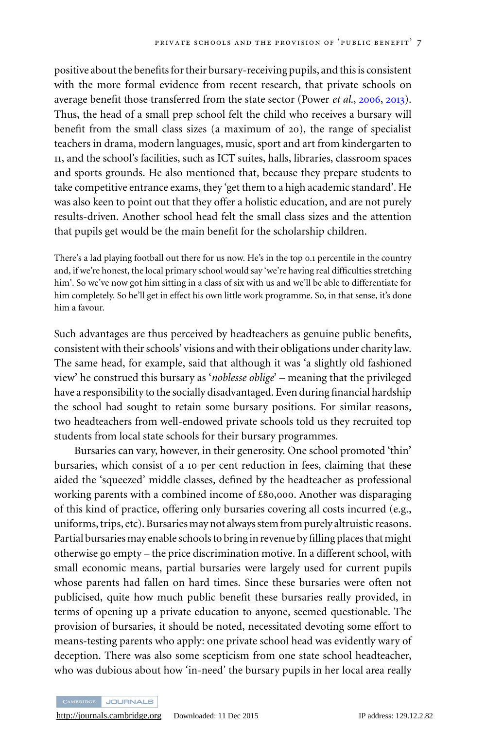positive about the benefits for their bursary-receiving pupils, and this is consistent with the more formal evidence from recent research, that private schools on average benefit those transferred from the state sector (Power *et al*., [2006](#page-19-0), [2013](#page-19-0)). Thus, the head of a small prep school felt the child who receives a bursary will benefit from the small class sizes (a maximum of 20), the range of specialist teachers in drama, modern languages, music, sport and art from kindergarten to 11, and the school's facilities, such as ICT suites, halls, libraries, classroom spaces and sports grounds. He also mentioned that, because they prepare students to take competitive entrance exams, they 'get them to a high academic standard'. He was also keen to point out that they offer a holistic education, and are not purely results-driven. Another school head felt the small class sizes and the attention that pupils get would be the main benefit for the scholarship children.

There's a lad playing football out there for us now. He's in the top 0.1 percentile in the country and, if we're honest, the local primary school would say 'we're having real difficulties stretching him'. So we've now got him sitting in a class of six with us and we'll be able to differentiate for him completely. So he'll get in effect his own little work programme. So, in that sense, it's done him a favour.

Such advantages are thus perceived by headteachers as genuine public benefits, consistent with their schools' visions and with their obligations under charity law. The same head, for example, said that although it was 'a slightly old fashioned view' he construed this bursary as '*noblesse oblige*' – meaning that the privileged have a responsibility to the socially disadvantaged. Even during financial hardship the school had sought to retain some bursary positions. For similar reasons, two headteachers from well-endowed private schools told us they recruited top students from local state schools for their bursary programmes.

Bursaries can vary, however, in their generosity. One school promoted 'thin' bursaries, which consist of a 10 per cent reduction in fees, claiming that these aided the 'squeezed' middle classes, defined by the headteacher as professional working parents with a combined income of £80,000. Another was disparaging of this kind of practice, offering only bursaries covering all costs incurred (e.g., uniforms, trips, etc). Bursaries may not always stem from purely altruistic reasons. Partial bursaries may enable schools to bring in revenue by filling places that might otherwise go empty – the price discrimination motive. In a different school, with small economic means, partial bursaries were largely used for current pupils whose parents had fallen on hard times. Since these bursaries were often not publicised, quite how much public benefit these bursaries really provided, in terms of opening up a private education to anyone, seemed questionable. The provision of bursaries, it should be noted, necessitated devoting some effort to means-testing parents who apply: one private school head was evidently wary of deception. There was also some scepticism from one state school headteacher, who was dubious about how 'in-need' the bursary pupils in her local area really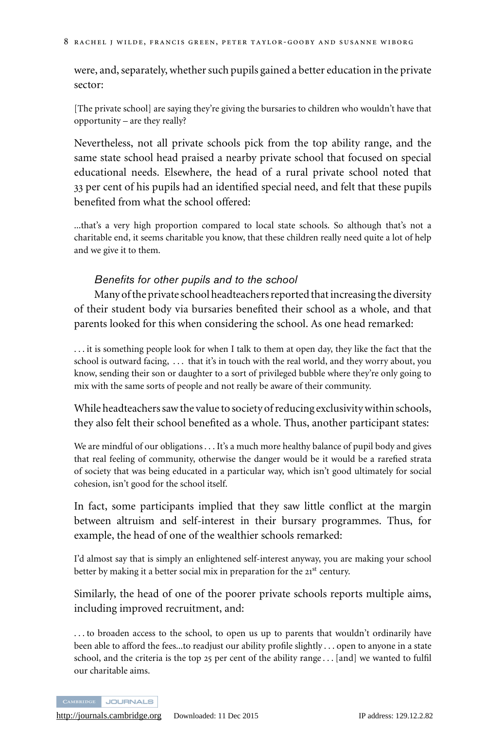were, and, separately, whether such pupils gained a better education in the private sector:

[The private school] are saying they're giving the bursaries to children who wouldn't have that opportunity – are they really?

Nevertheless, not all private schools pick from the top ability range, and the same state school head praised a nearby private school that focused on special educational needs. Elsewhere, the head of a rural private school noted that 33 per cent of his pupils had an identified special need, and felt that these pupils benefited from what the school offered:

...that's a very high proportion compared to local state schools. So although that's not a charitable end, it seems charitable you know, that these children really need quite a lot of help and we give it to them.

#### *Benefits for other pupils and to the school*

Many of the private school headteachers reported that increasing the diversity of their student body via bursaries benefited their school as a whole, and that parents looked for this when considering the school. As one head remarked:

. . . it is something people look for when I talk to them at open day, they like the fact that the school is outward facing, . . . that it's in touch with the real world, and they worry about, you know, sending their son or daughter to a sort of privileged bubble where they're only going to mix with the same sorts of people and not really be aware of their community.

While headteachers saw the value to society of reducing exclusivity within schools, they also felt their school benefited as a whole. Thus, another participant states:

We are mindful of our obligations . . . It's a much more healthy balance of pupil body and gives that real feeling of community, otherwise the danger would be it would be a rarefied strata of society that was being educated in a particular way, which isn't good ultimately for social cohesion, isn't good for the school itself.

In fact, some participants implied that they saw little conflict at the margin between altruism and self-interest in their bursary programmes. Thus, for example, the head of one of the wealthier schools remarked:

I'd almost say that is simply an enlightened self-interest anyway, you are making your school better by making it a better social mix in preparation for the 21<sup>st</sup> century.

Similarly, the head of one of the poorer private schools reports multiple aims, including improved recruitment, and:

. . . to broaden access to the school, to open us up to parents that wouldn't ordinarily have been able to afford the fees...to readjust our ability profile slightly . . . open to anyone in a state school, and the criteria is the top 25 per cent of the ability range . . . [and] we wanted to fulfil our charitable aims.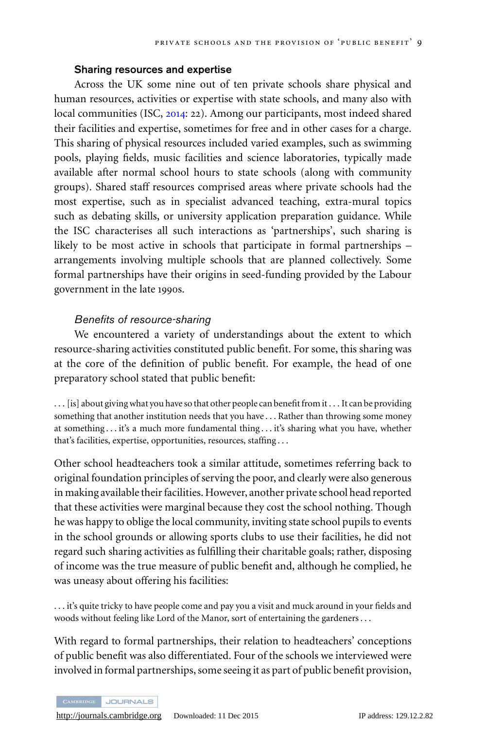#### Sharing resources and expertise

Across the UK some nine out of ten private schools share physical and human resources, activities or expertise with state schools, and many also with local communities (ISC, [2014](#page-18-0): 22). Among our participants, most indeed shared their facilities and expertise, sometimes for free and in other cases for a charge. This sharing of physical resources included varied examples, such as swimming pools, playing fields, music facilities and science laboratories, typically made available after normal school hours to state schools (along with community groups). Shared staff resources comprised areas where private schools had the most expertise, such as in specialist advanced teaching, extra-mural topics such as debating skills, or university application preparation guidance. While the ISC characterises all such interactions as 'partnerships', such sharing is likely to be most active in schools that participate in formal partnerships – arrangements involving multiple schools that are planned collectively. Some formal partnerships have their origins in seed-funding provided by the Labour government in the late 1990s.

#### *Benefits of resource-sharing*

We encountered a variety of understandings about the extent to which resource-sharing activities constituted public benefit. For some, this sharing was at the core of the definition of public benefit. For example, the head of one preparatory school stated that public benefit:

. . . [is] about giving what you have so that other people can benefit from it . . . It can be providing something that another institution needs that you have . . . Rather than throwing some money at something . . . it's a much more fundamental thing . . . it's sharing what you have, whether that's facilities, expertise, opportunities, resources, staffing . . .

Other school headteachers took a similar attitude, sometimes referring back to original foundation principles of serving the poor, and clearly were also generous in making available their facilities. However, another private school head reported that these activities were marginal because they cost the school nothing. Though he was happy to oblige the local community, inviting state school pupils to events in the school grounds or allowing sports clubs to use their facilities, he did not regard such sharing activities as fulfilling their charitable goals; rather, disposing of income was the true measure of public benefit and, although he complied, he was uneasy about offering his facilities:

. . . it's quite tricky to have people come and pay you a visit and muck around in your fields and woods without feeling like Lord of the Manor, sort of entertaining the gardeners . . .

With regard to formal partnerships, their relation to headteachers' conceptions of public benefit was also differentiated. Four of the schools we interviewed were involved in formal partnerships, some seeing it as part of public benefit provision,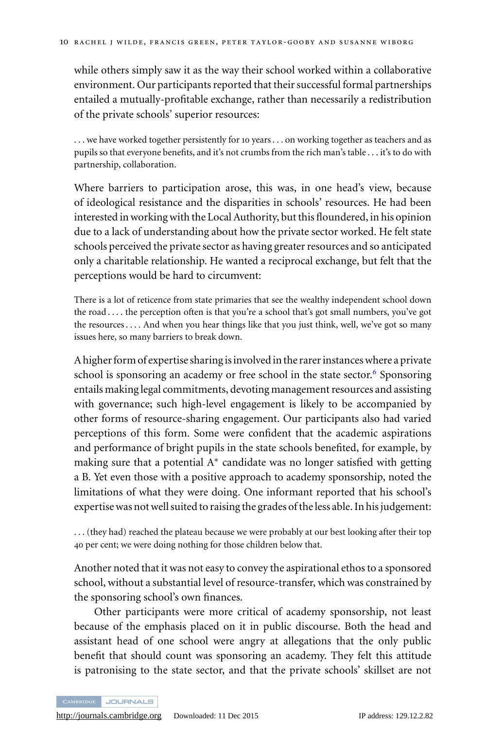while others simply saw it as the way their school worked within a collaborative environment. Our participants reported that their successful formal partnerships entailed a mutually-profitable exchange, rather than necessarily a redistribution of the private schools' superior resources:

. . . we have worked together persistently for 10 years . . . on working together as teachers and as pupils so that everyone benefits, and it's not crumbs from the rich man's table . . . it's to do with partnership, collaboration.

Where barriers to participation arose, this was, in one head's view, because of ideological resistance and the disparities in schools' resources. He had been interested in working with the Local Authority, but this floundered, in his opinion due to a lack of understanding about how the private sector worked. He felt state schools perceived the private sector as having greater resources and so anticipated only a charitable relationship. He wanted a reciprocal exchange, but felt that the perceptions would be hard to circumvent:

There is a lot of reticence from state primaries that see the wealthy independent school down the road . . . . the perception often is that you're a school that's got small numbers, you've got the resources . . . . And when you hear things like that you just think, well, we've got so many issues here, so many barriers to break down.

A higher form of expertise sharing is involved in the rarer instances where a private school is sponsoring an academy or free school in the state sector[.](#page-18-0)<sup>6</sup> Sponsoring entails making legal commitments, devoting management resources and assisting with governance; such high-level engagement is likely to be accompanied by other forms of resource-sharing engagement. Our participants also had varied perceptions of this form. Some were confident that the academic aspirations and performance of bright pupils in the state schools benefited, for example, by making sure that a potential A<sup>\*</sup> candidate was no longer satisfied with getting a B. Yet even those with a positive approach to academy sponsorship, noted the limitations of what they were doing. One informant reported that his school's expertise was not well suited to raising the grades of the less able. In his judgement:

. . . (they had) reached the plateau because we were probably at our best looking after their top 40 per cent; we were doing nothing for those children below that.

Another noted that it was not easy to convey the aspirational ethos to a sponsored school, without a substantial level of resource-transfer, which was constrained by the sponsoring school's own finances.

Other participants were more critical of academy sponsorship, not least because of the emphasis placed on it in public discourse. Both the head and assistant head of one school were angry at allegations that the only public benefit that should count was sponsoring an academy. They felt this attitude is patronising to the state sector, and that the private schools' skillset are not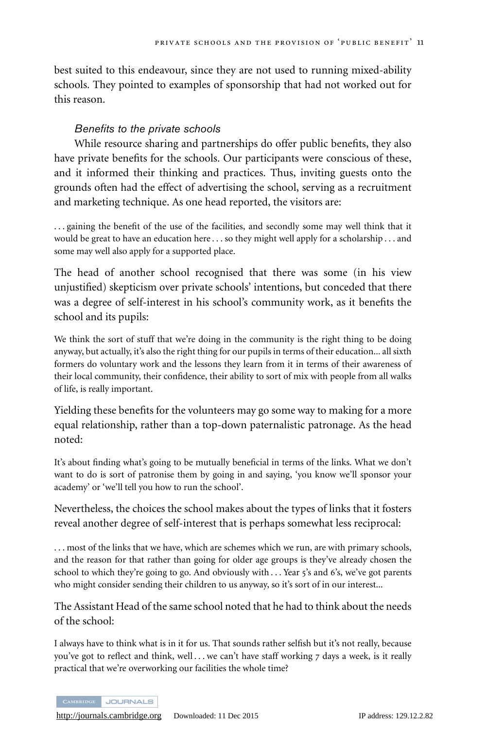best suited to this endeavour, since they are not used to running mixed-ability schools. They pointed to examples of sponsorship that had not worked out for this reason.

#### *Benefits to the private schools*

While resource sharing and partnerships do offer public benefits, they also have private benefits for the schools. Our participants were conscious of these, and it informed their thinking and practices. Thus, inviting guests onto the grounds often had the effect of advertising the school, serving as a recruitment and marketing technique. As one head reported, the visitors are:

. . . gaining the benefit of the use of the facilities, and secondly some may well think that it would be great to have an education here . . . so they might well apply for a scholarship . . . and some may well also apply for a supported place.

The head of another school recognised that there was some (in his view unjustified) skepticism over private schools' intentions, but conceded that there was a degree of self-interest in his school's community work, as it benefits the school and its pupils:

We think the sort of stuff that we're doing in the community is the right thing to be doing anyway, but actually, it's also the right thing for our pupils in terms of their education... all sixth formers do voluntary work and the lessons they learn from it in terms of their awareness of their local community, their confidence, their ability to sort of mix with people from all walks of life, is really important.

Yielding these benefits for the volunteers may go some way to making for a more equal relationship, rather than a top-down paternalistic patronage. As the head noted:

It's about finding what's going to be mutually beneficial in terms of the links. What we don't want to do is sort of patronise them by going in and saying, 'you know we'll sponsor your academy' or 'we'll tell you how to run the school'.

Nevertheless, the choices the school makes about the types of links that it fosters reveal another degree of self-interest that is perhaps somewhat less reciprocal:

. . . most of the links that we have, which are schemes which we run, are with primary schools, and the reason for that rather than going for older age groups is they've already chosen the school to which they're going to go. And obviously with . . . Year 5's and 6's, we've got parents who might consider sending their children to us anyway, so it's sort of in our interest...

The Assistant Head of the same school noted that he had to think about the needs of the school:

I always have to think what is in it for us. That sounds rather selfish but it's not really, because you've got to reflect and think, well . . . we can't have staff working 7 days a week, is it really practical that we're overworking our facilities the whole time?

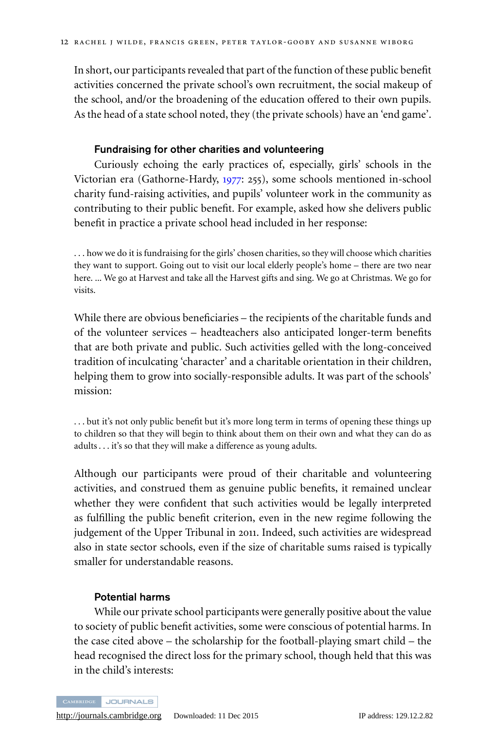<span id="page-13-0"></span>In short, our participants revealed that part of the function of these public benefit activities concerned the private school's own recruitment, the social makeup of the school, and/or the broadening of the education offered to their own pupils. As the head of a state school noted, they (the private schools) have an 'end game'.

#### Fundraising for other charities and volunteering

Curiously echoing the early practices of, especially, girls' schools in the Victorian era (Gathorne-Hardy, [1977](#page-18-0): 255), some schools mentioned in-school charity fund-raising activities, and pupils' volunteer work in the community as contributing to their public benefit. For example, asked how she delivers public benefit in practice a private school head included in her response:

. . . how we do it is fundraising for the girls' chosen charities, so they will choose which charities they want to support. Going out to visit our local elderly people's home – there are two near here. ... We go at Harvest and take all the Harvest gifts and sing. We go at Christmas. We go for visits.

While there are obvious beneficiaries – the recipients of the charitable funds and of the volunteer services – headteachers also anticipated longer-term benefits that are both private and public. Such activities gelled with the long-conceived tradition of inculcating 'character' and a charitable orientation in their children, helping them to grow into socially-responsible adults. It was part of the schools' mission:

. . . but it's not only public benefit but it's more long term in terms of opening these things up to children so that they will begin to think about them on their own and what they can do as adults . . . it's so that they will make a difference as young adults.

Although our participants were proud of their charitable and volunteering activities, and construed them as genuine public benefits, it remained unclear whether they were confident that such activities would be legally interpreted as fulfilling the public benefit criterion, even in the new regime following the judgement of the Upper Tribunal in 2011. Indeed, such activities are widespread also in state sector schools, even if the size of charitable sums raised is typically smaller for understandable reasons.

#### Potential harms

While our private school participants were generally positive about the value to society of public benefit activities, some were conscious of potential harms. In the case cited above – the scholarship for the football-playing smart child – the head recognised the direct loss for the primary school, though held that this was in the child's interests: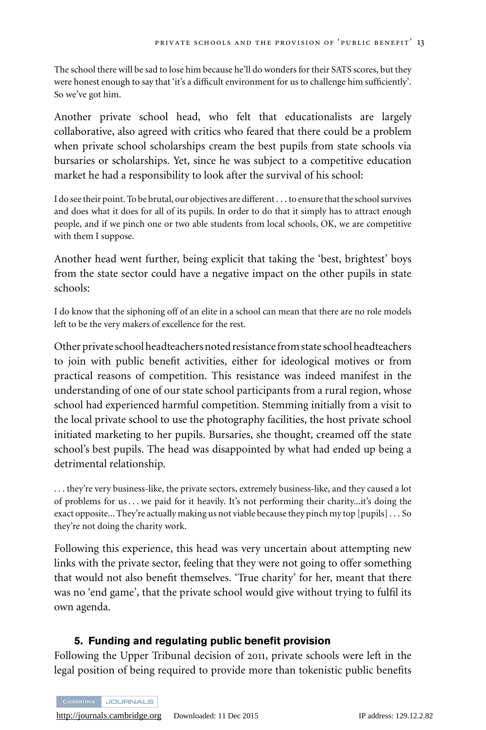The school there will be sad to lose him because he'll do wonders for their SATS scores, but they were honest enough to say that 'it's a difficult environment for us to challenge him sufficiently'. So we've got him.

Another private school head, who felt that educationalists are largely collaborative, also agreed with critics who feared that there could be a problem when private school scholarships cream the best pupils from state schools via bursaries or scholarships. Yet, since he was subject to a competitive education market he had a responsibility to look after the survival of his school:

I do see their point. To be brutal, our objectives are different . . . to ensure that the school survives and does what it does for all of its pupils. In order to do that it simply has to attract enough people, and if we pinch one or two able students from local schools, OK, we are competitive with them I suppose.

Another head went further, being explicit that taking the 'best, brightest' boys from the state sector could have a negative impact on the other pupils in state schools:

I do know that the siphoning off of an elite in a school can mean that there are no role models left to be the very makers of excellence for the rest.

Other private school headteachers noted resistance from state school headteachers to join with public benefit activities, either for ideological motives or from practical reasons of competition. This resistance was indeed manifest in the understanding of one of our state school participants from a rural region, whose school had experienced harmful competition. Stemming initially from a visit to the local private school to use the photography facilities, the host private school initiated marketing to her pupils. Bursaries, she thought, creamed off the state school's best pupils. The head was disappointed by what had ended up being a detrimental relationship.

. . . they're very business-like, the private sectors, extremely business-like, and they caused a lot of problems for us . . . we paid for it heavily. It's not performing their charity...it's doing the exact opposite... They're actually making us not viable because they pinch my top [pupils] . . . So they're not doing the charity work.

Following this experience, this head was very uncertain about attempting new links with the private sector, feeling that they were not going to offer something that would not also benefit themselves. 'True charity' for her, meant that there was no 'end game', that the private school would give without trying to fulfil its own agenda.

#### **5. Funding and regulating public benefit provision**

Following the Upper Tribunal decision of 2011, private schools were left in the legal position of being required to provide more than tokenistic public benefits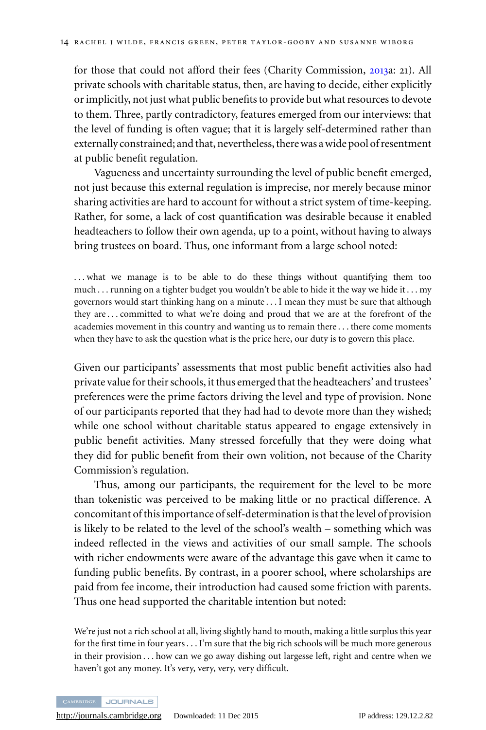for those that could not afford their fees (Charity Commission, [2013](#page-18-0)a: 21). All private schools with charitable status, then, are having to decide, either explicitly or implicitly, not just what public benefits to provide but what resources to devote to them. Three, partly contradictory, features emerged from our interviews: that the level of funding is often vague; that it is largely self-determined rather than externally constrained; and that, nevertheless, there was a wide pool of resentment at public benefit regulation.

Vagueness and uncertainty surrounding the level of public benefit emerged, not just because this external regulation is imprecise, nor merely because minor sharing activities are hard to account for without a strict system of time-keeping. Rather, for some, a lack of cost quantification was desirable because it enabled headteachers to follow their own agenda, up to a point, without having to always bring trustees on board. Thus, one informant from a large school noted:

. . . what we manage is to be able to do these things without quantifying them too much . . . running on a tighter budget you wouldn't be able to hide it the way we hide it . . . my governors would start thinking hang on a minute . . . I mean they must be sure that although they are . . . committed to what we're doing and proud that we are at the forefront of the academies movement in this country and wanting us to remain there . . . there come moments when they have to ask the question what is the price here, our duty is to govern this place.

Given our participants' assessments that most public benefit activities also had private value for their schools, it thus emerged that the headteachers' and trustees' preferences were the prime factors driving the level and type of provision. None of our participants reported that they had had to devote more than they wished; while one school without charitable status appeared to engage extensively in public benefit activities. Many stressed forcefully that they were doing what they did for public benefit from their own volition, not because of the Charity Commission's regulation.

Thus, among our participants, the requirement for the level to be more than tokenistic was perceived to be making little or no practical difference. A concomitant of this importance of self-determination is that the level of provision is likely to be related to the level of the school's wealth – something which was indeed reflected in the views and activities of our small sample. The schools with richer endowments were aware of the advantage this gave when it came to funding public benefits. By contrast, in a poorer school, where scholarships are paid from fee income, their introduction had caused some friction with parents. Thus one head supported the charitable intention but noted:

We're just not a rich school at all, living slightly hand to mouth, making a little surplus this year for the first time in four years . . . I'm sure that the big rich schools will be much more generous in their provision . . . how can we go away dishing out largesse left, right and centre when we haven't got any money. It's very, very, very, very difficult.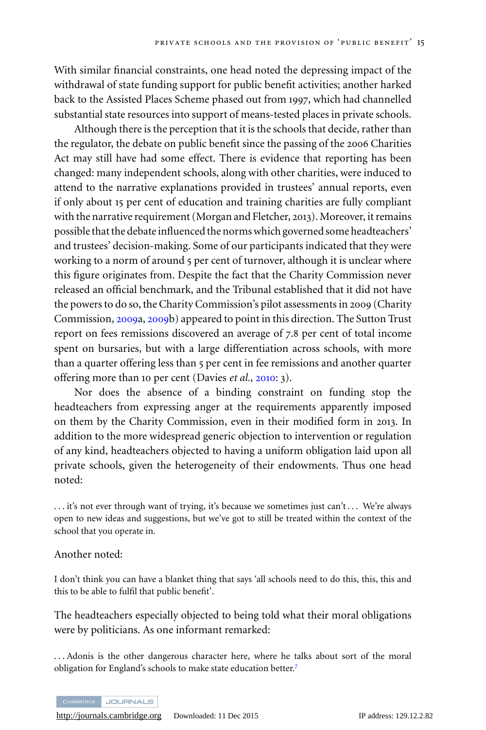With similar financial constraints, one head noted the depressing impact of the withdrawal of state funding support for public benefit activities; another harked back to the Assisted Places Scheme phased out from 1997, which had channelled substantial state resources into support of means-tested places in private schools.

Although there is the perception that it is the schools that decide, rather than the regulator, the debate on public benefit since the passing of the 2006 Charities Act may still have had some effect. There is evidence that reporting has been changed: many independent schools, along with other charities, were induced to attend to the narrative explanations provided in trustees' annual reports, even if only about 15 per cent of education and training charities are fully compliant with the narrative requirement (Morgan and Fletcher, 2013). Moreover, it remains possible that the debate influenced the norms which governed some headteachers' and trustees' decision-making. Some of our participants indicated that they were working to a norm of around 5 per cent of turnover, although it is unclear where this figure originates from. Despite the fact that the Charity Commission never released an official benchmark, and the Tribunal established that it did not have the powers to do so, the Charity Commission's pilot assessments in 2009 (Charity Commission, [2009](#page-18-0)a, [2009](#page-18-0)b) appeared to point in this direction. The Sutton Trust report on fees remissions discovered an average of 7.8 per cent of total income spent on bursaries, but with a large differentiation across schools, with more than a quarter offering less than 5 per cent in fee remissions and another quarter offering more than 10 per cent (Davies *et al.*, [2010](#page-18-0): 3).

Nor does the absence of a binding constraint on funding stop the headteachers from expressing anger at the requirements apparently imposed on them by the Charity Commission, even in their modified form in 2013. In addition to the more widespread generic objection to intervention or regulation of any kind, headteachers objected to having a uniform obligation laid upon all private schools, given the heterogeneity of their endowments. Thus one head noted:

. . . it's not ever through want of trying, it's because we sometimes just can't . . . We're always open to new ideas and suggestions, but we've got to still be treated within the context of the school that you operate in.

#### Another noted:

I don't think you can have a blanket thing that says 'all schools need to do this, this, this and this to be able to fulfil that public benefit'.

The headteachers especially objected to being told what their moral obligations were by politicians. As one informant remarked:

. . . Adonis is the other dangerous character here, where he talks about sort of the moral obligation for England's schools to make state education better[.](#page-18-0)<sup>7</sup>

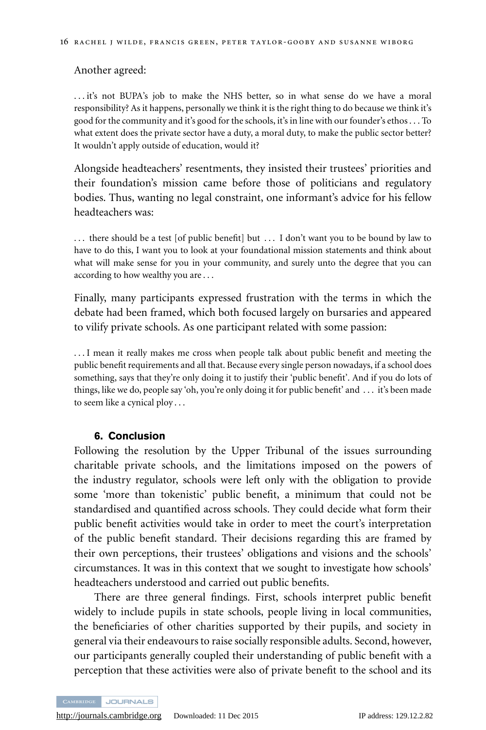<span id="page-17-0"></span>Another agreed:

. . . it's not BUPA's job to make the NHS better, so in what sense do we have a moral responsibility? As it happens, personally we think it is the right thing to do because we think it's good for the community and it's good for the schools, it's in line with our founder's ethos . . . To what extent does the private sector have a duty, a moral duty, to make the public sector better? It wouldn't apply outside of education, would it?

Alongside headteachers' resentments, they insisted their trustees' priorities and their foundation's mission came before those of politicians and regulatory bodies. Thus, wanting no legal constraint, one informant's advice for his fellow headteachers was:

... there should be a test [of public benefit] but ... I don't want you to be bound by law to have to do this, I want you to look at your foundational mission statements and think about what will make sense for you in your community, and surely unto the degree that you can according to how wealthy you are . . .

Finally, many participants expressed frustration with the terms in which the debate had been framed, which both focused largely on bursaries and appeared to vilify private schools. As one participant related with some passion:

. . . I mean it really makes me cross when people talk about public benefit and meeting the public benefit requirements and all that. Because every single person nowadays, if a school does something, says that they're only doing it to justify their 'public benefit'. And if you do lots of things, like we do, people say 'oh, you're only doing it for public benefit' and . . . it's been made to seem like a cynical ploy . . .

#### **6. Conclusion**

Following the resolution by the Upper Tribunal of the issues surrounding charitable private schools, and the limitations imposed on the powers of the industry regulator, schools were left only with the obligation to provide some 'more than tokenistic' public benefit, a minimum that could not be standardised and quantified across schools. They could decide what form their public benefit activities would take in order to meet the court's interpretation of the public benefit standard. Their decisions regarding this are framed by their own perceptions, their trustees' obligations and visions and the schools' circumstances. It was in this context that we sought to investigate how schools' headteachers understood and carried out public benefits.

There are three general findings. First, schools interpret public benefit widely to include pupils in state schools, people living in local communities, the beneficiaries of other charities supported by their pupils, and society in general via their endeavours to raise socially responsible adults. Second, however, our participants generally coupled their understanding of public benefit with a perception that these activities were also of private benefit to the school and its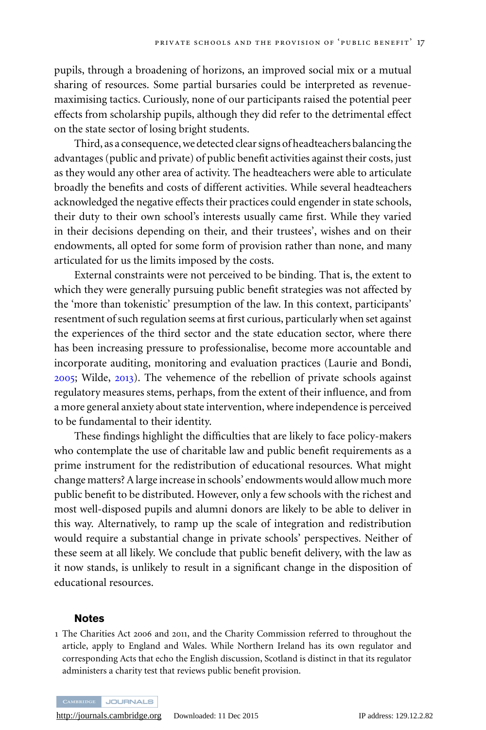<span id="page-18-0"></span>pupils, through a broadening of horizons, an improved social mix or a mutual sharing of resources. Some partial bursaries could be interpreted as revenuemaximising tactics. Curiously, none of our participants raised the potential peer effects from scholarship pupils, although they did refer to the detrimental effect on the state sector of losing bright students.

Third, as a consequence, we detected clear signs of headteachers balancing the advantages (public and private) of public benefit activities against their costs, just as they would any other area of activity. The headteachers were able to articulate broadly the benefits and costs of different activities. While several headteachers acknowledged the negative effects their practices could engender in state schools, their duty to their own school's interests usually came first. While they varied in their decisions depending on their, and their trustees', wishes and on their endowments, all opted for some form of provision rather than none, and many articulated for us the limits imposed by the costs.

External constraints were not perceived to be binding. That is, the extent to which they were generally pursuing public benefit strategies was not affected by the 'more than tokenistic' presumption of the law. In this context, participants' resentment of such regulation seems at first curious, particularly when set against the experiences of the third sector and the state education sector, where there has been increasing pressure to professionalise, become more accountable and incorporate auditing, monitoring and evaluation practices (Laurie and Bondi, 2005; Wilde, [2013](#page-19-0)). The vehemence of the rebellion of private schools against regulatory measures stems, perhaps, from the extent of their influence, and from a more general anxiety about state intervention, where independence is perceived to be fundamental to their identity.

These findings highlight the difficulties that are likely to face policy-makers who contemplate the use of charitable law and public benefit requirements as a prime instrument for the redistribution of educational resources. What might change matters? A large increase in schools' endowments would allow much more public benefit to be distributed. However, only a few schools with the richest and most well-disposed pupils and alumni donors are likely to be able to deliver in this way. Alternatively, to ramp up the scale of integration and redistribution would require a substantial change in private schools' perspectives. Neither of these seem at all likely. We conclude that public benefit delivery, with the law as it now stands, is unlikely to result in a significant change in the disposition of educational resources.

#### **Notes**

1 The Charities Act 2006 and 2011, and the Charity Commission referred to throughout the article, apply to England and Wales. While Northern Ireland has its own regulator and corresponding Acts that echo the English discussion, Scotland is distinct in that its regulator administers a charity test that reviews public benefit provision.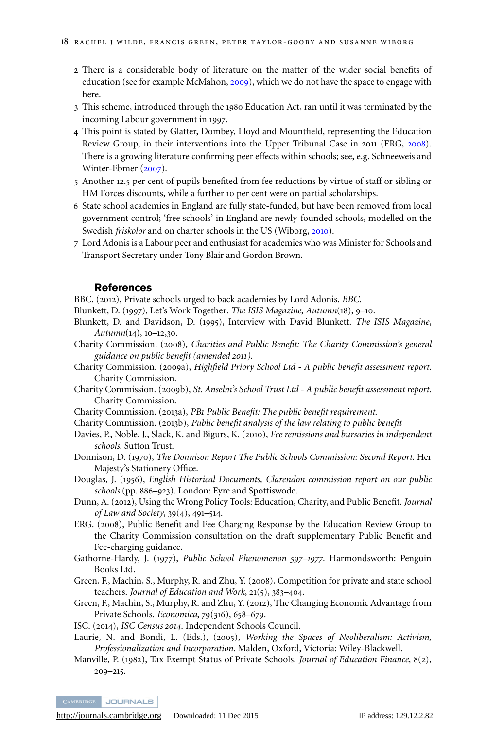- <span id="page-19-0"></span>2 There is a considerable body of literature on the matter of the wider social benefits of education (see for example McMahon, 2009), which we do not have the space to engage with here.
- 3 This scheme, introduced through the 1980 Education Act, ran until it was terminated by the incoming Labour government in 1997.
- 4 This point is stated by Glatter, Dombey, Lloyd and Mountfield, representing the Education Review Group, in their interventions into the Upper Tribunal Case in 2011 (ERG, [2008](#page-18-0)). There is a growing literature confirming peer effects within schools; see, e.g. Schneeweis and Winter-Ebmer (2007).
- 5 Another 12.5 per cent of pupils benefited from fee reductions by virtue of staff or sibling or HM Forces discounts, while a further 10 per cent were on partial scholarships.
- 6 State school academies in England are fully state-funded, but have been removed from local government control; 'free schools' in England are newly-founded schools, modelled on the Swedish *friskolor* and on charter schools in the US (Wiborg, 2010).
- 7 Lord Adonis is a Labour peer and enthusiast for academies who was Minister for Schools and Transport Secretary under Tony Blair and Gordon Brown.

#### **References**

BBC. (2012), Private schools urged to back academies by Lord Adonis. *BBC*.

Blunkett, D. (1997), Let's Work Together. *The ISIS Magazine*, *Autumn*(18), 9–10.

- Blunkett, D. and Davidson, D. (1995), Interview with David Blunkett. *The ISIS Magazine*, *Autumn*(14), 10–12,30.
- Charity Commission. (2008), *Charities and Public Benefit: The Charity Commission's general guidance on public benefit (amended 2011)*.
- Charity Commission. (2009a), *Highfield Priory School Ltd A public benefit assessment report*. Charity Commission.
- Charity Commission. (2009b), *St. Anselm's School Trust Ltd A public benefit assessment report*. Charity Commission.
- Charity Commission. (2013a), *PB1 Public Benefit: The public benefit requirement*.
- Charity Commission. (2013b), *Public benefit analysis of the law relating to public benefit*
- Davies, P., Noble, J., Slack, K. and Bigurs, K. (2010), *Fee remissions and bursaries in independent schools*. Sutton Trust.
- Donnison, D. (1970), *The Donnison Report The Public Schools Commission: Second Report*. Her Majesty's Stationery Office.
- Douglas, J. (1956), *English Historical Documents, Clarendon commission report on our public schools* (pp. 886–923). London: Eyre and Spottiswode.
- Dunn, A. (2012), Using the Wrong Policy Tools: Education, Charity, and Public Benefit. *Journal of Law and Society*, 39(4), 491–514.
- ERG. (2008), Public Benefit and Fee Charging Response by the Education Review Group to the Charity Commission consultation on the draft supplementary Public Benefit and Fee-charging guidance.
- Gathorne-Hardy, J. (1977), *Public School Phenomenon 597–1977*. Harmondsworth: Penguin Books Ltd.
- Green, F., Machin, S., Murphy, R. and Zhu, Y. (2008), Competition for private and state school teachers. *Journal of Education and Work*, 21(5), 383–404.
- Green, F., Machin, S., Murphy, R. and Zhu, Y. (2012), The Changing Economic Advantage from Private Schools. *Economica*, 79(316), 658–679.
- ISC. (2014), *ISC Census 2014*. Independent Schools Council.
- Laurie, N. and Bondi, L. (Eds.), (2005), *Working the Spaces of Neoliberalism: Activism, Professionalization and Incorporation*. Malden, Oxford, Victoria: Wiley-Blackwell.
- Manville, P. (1982), Tax Exempt Status of Private Schools. *Journal of Education Finance*, 8(2), 209–215.